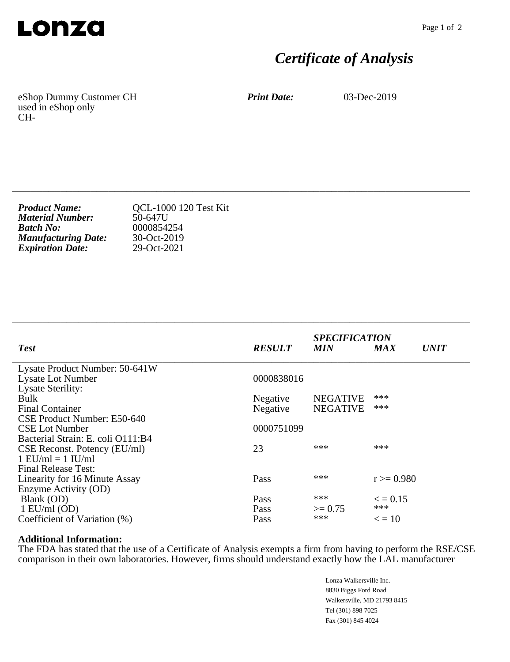

## *Certificate of Analysis*

eShop Dummy Customer CH used in eShop only CH-

*Print Date:* 03-Dec-2019

| <b>Product Name:</b>       | <b>QCL-1000 120 Test Kit</b> |
|----------------------------|------------------------------|
| <b>Material Number:</b>    | 50-647U                      |
| <b>Batch No:</b>           | 0000854254                   |
| <b>Manufacturing Date:</b> | 30-Oct-2019                  |
| <b>Expiration Date:</b>    | 29-Oct-2021                  |

|                                   |               | <b>SPECIFICATION</b> |                           |  |
|-----------------------------------|---------------|----------------------|---------------------------|--|
| <b>Test</b>                       | <b>RESULT</b> | <b>MIN</b>           | <b>UNIT</b><br><b>MAX</b> |  |
| Lysate Product Number: 50-641W    |               |                      |                           |  |
| <b>Lysate Lot Number</b>          | 0000838016    |                      |                           |  |
| <b>Lysate Sterility:</b>          |               |                      |                           |  |
| Bulk                              | Negative      | <b>NEGATIVE</b>      | ***                       |  |
| <b>Final Container</b>            | Negative      | <b>NEGATIVE</b>      | ***                       |  |
| CSE Product Number: E50-640       |               |                      |                           |  |
| <b>CSE Lot Number</b>             | 0000751099    |                      |                           |  |
| Bacterial Strain: E. coli O111:B4 |               |                      |                           |  |
| CSE Reconst. Potency (EU/ml)      | 23            | ***                  | ***                       |  |
| $1$ EU/ml = $1$ IU/ml             |               |                      |                           |  |
| <b>Final Release Test:</b>        |               |                      |                           |  |
| Linearity for 16 Minute Assay     | Pass          | ***                  | $r \ge 0.980$             |  |
| Enzyme Activity (OD)              |               |                      |                           |  |
| Blank (OD)                        | Pass          | ***                  | $\epsilon = 0.15$         |  |
| $1$ EU/ml (OD)                    | Pass          | $\geq$ 0.75          | ***                       |  |
| Coefficient of Variation (%)      | Pass          | ***                  | $\epsilon = 10$           |  |

\_\_\_\_\_\_\_\_\_\_\_\_\_\_\_\_\_\_\_\_\_\_\_\_\_\_\_\_\_\_\_\_\_\_\_\_\_\_\_\_\_\_\_\_\_\_\_\_\_\_\_\_\_\_\_\_\_\_\_\_\_\_\_\_\_\_\_\_\_\_\_\_\_\_\_\_

\_\_\_\_\_\_\_\_\_\_\_\_\_\_\_\_\_\_\_\_\_\_\_\_\_\_\_\_\_\_\_\_\_\_\_\_\_\_\_\_\_\_\_\_\_\_\_\_\_\_\_\_\_\_\_\_\_\_\_\_\_\_\_\_\_\_\_\_\_\_\_\_\_\_\_\_

## **Additional Information:**

The FDA has stated that the use of a Certificate of Analysis exempts a firm from having to perform the RSE/CSE comparison in their own laboratories. However, firms should understand exactly how the LAL manufacturer

> Lonza Walkersville Inc. 8830 Biggs Ford Road Walkersville, MD 21793 8415 Tel (301) 898 7025 Fax (301) 845 4024